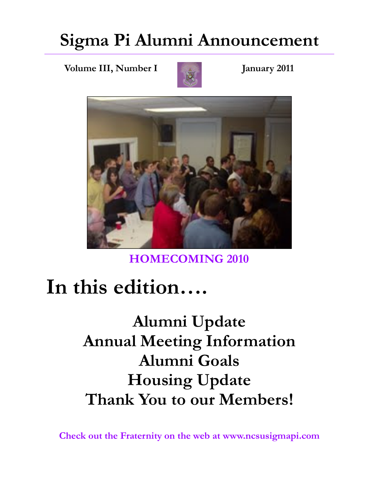### **Sigma Pi Alumni Announcement**

**Volume III, Number I January 2011** 





**HOMECOMING 2010** 

# **In this edition….**

**Alumni Update Annual Meeting Information Alumni Goals Housing Update Thank You to our Members!** 

**Check out the Fraternity on the web at www.ncsusigmapi.com**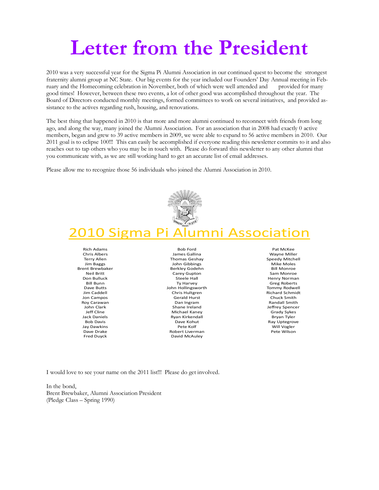# **Letter from the President**

2010 was a very successful year for the Sigma Pi Alumni Association in our continued quest to become the strongest fraternity alumni group at NC State. Our big events for the year included our Founders' Day Annual meeting in February and the Homecoming celebration in November, both of which were well attended and provided for many good times! However, between these two events, a lot of other good was accomplished throughout the year. The Board of Directors conducted monthly meetings, formed committees to work on several initiatives, and provided assistance to the actives regarding rush, housing, and renovations.

The best thing that happened in 2010 is that more and more alumni continued to reconnect with friends from long ago, and along the way, many joined the Alumni Association. For an association that in 2008 had exactly 0 active members, began and grew to 39 active members in 2009, we were able to expand to 56 active members in 2010. Our 2011 goal is to eclipse 100!!! This can easily be accomplished if everyone reading this newsletter commits to it and also reaches out to tap others who you may be in touch with. Please do forward this newsletter to any other alumni that you communicate with, as we are still working hard to get an accurate list of email addresses.

Please allow me to recognize those 56 individuals who joined the Alumni Association in 2010.



#### 2010 Sigma Pi Alumni Association

Rich Adams Chris Albers Terry Allen Jim Baggs Brent Brewbaker Neil Britt Don Bulluck Bill Bunn Dave Butts Jim Caddell Jon Campos Roy Carawan John Clark Jeff Cline Jack Daniels Bob Davis Jay Dawkins Dave Drake Fred Duyck

Bob Ford James Gallina Thomas Geshay John Gibbings Berkley Godehn Carey Gupton Steele Hall Ty Harvey John Hollingsworth Chris Hultgren Gerald Hurst Dan Ingram Shane Ireland Michael Kaney Ryan Kirkendall Dave Kohut Pete Kolf Robert Liverman David McAuley

Pat McKee Wayne Miller Speedy Mitchell Mike Moles Bill Monroe Sam Monroe Henry Norman Greg Roberts Tommy Rodwell Richard Schmidt Chuck Smith Randall Smith Jeffrey Spencer Grady Sykes Bryan Tyler Ray Uptegrove Will Vogler Pete Wilson

I would love to see your name on the 2011 list!!! Please do get involved.

In the bond, Brent Brewbaker, Alumni Association President (Pledge Class – Spring 1990)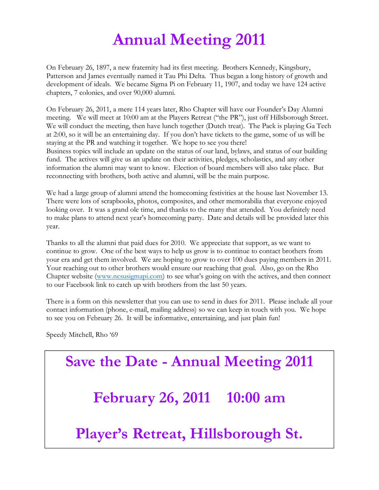#### **Annual Meeting 2011**

On February 26, 1897, a new fraternity had its first meeting. Brothers Kennedy, Kingsbury, Patterson and James eventually named it Tau Phi Delta. Thus began a long history of growth and development of ideals. We became Sigma Pi on February 11, 1907, and today we have 124 active chapters, 7 colonies, and over 90,000 alumni.

On February 26, 2011, a mere 114 years later, Rho Chapter will have our Founder's Day Alumni meeting. We will meet at 10:00 am at the Players Retreat ("the PR"), just off Hillsborough Street. We will conduct the meeting, then have lunch together (Dutch treat). The Pack is playing Ga Tech at 2:00, so it will be an entertaining day. If you don't have tickets to the game, some of us will be staying at the PR and watching it together. We hope to see you there! Business topics will include an update on the status of our land, bylaws, and status of our building fund. The actives will give us an update on their activities, pledges, scholastics, and any other information the alumni may want to know. Election of board members will also take place. But reconnecting with brothers, both active and alumni, will be the main purpose.

We had a large group of alumni attend the homecoming festivities at the house last November 13. There were lots of scrapbooks, photos, composites, and other memorabilia that everyone enjoyed looking over. It was a grand ole time, and thanks to the many that attended. You definitely need to make plans to attend next year's homecoming party. Date and details will be provided later this year.

Thanks to all the alumni that paid dues for 2010. We appreciate that support, as we want to continue to grow. One of the best ways to help us grow is to continue to contact brothers from your era and get them involved. We are hoping to grow to over 100 dues paying members in 2011. Your reaching out to other brothers would ensure our reaching that goal. Also, go on the Rho Chapter website (www.ncsusigmapi.com) to see what's going on with the actives, and then connect to our Facebook link to catch up with brothers from the last 50 years.

There is a form on this newsletter that you can use to send in dues for 2011. Please include all your contact information (phone, e-mail, mailing address) so we can keep in touch with you. We hope to see you on February 26. It will be informative, entertaining, and just plain fun!

Speedy Mitchell, Rho '69

# **Save the Date - Annual Meeting 2011 February 26, 2011 10:00 am Player's Retreat, Hillsborough St.**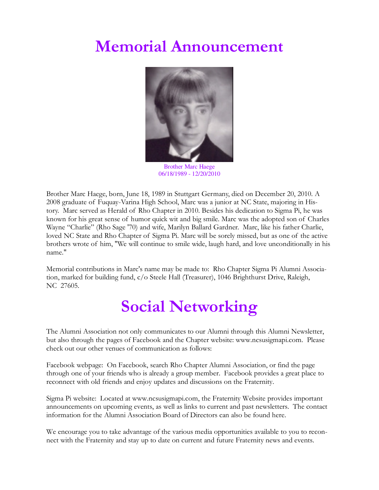#### **Memorial Announcement**



Brother Marc Haege 06/18/1989 - 12/20/2010

Brother Marc Haege, born, June 18, 1989 in Stuttgart Germany, died on December 20, 2010. A 2008 graduate of Fuquay-Varina High School, Marc was a junior at NC State, majoring in History. Marc served as Herald of Rho Chapter in 2010. Besides his dedication to Sigma Pi, he was known for his great sense of humor quick wit and big smile. Marc was the adopted son of Charles Wayne "Charlie" (Rho Sage '70) and wife, Marilyn Ballard Gardner. Marc, like his father Charlie, loved NC State and Rho Chapter of Sigma Pi. Marc will be sorely missed, but as one of the active brothers wrote of him, "We will continue to smile wide, laugh hard, and love unconditionally in his name."

Memorial contributions in Marc's name may be made to: Rho Chapter Sigma Pi Alumni Association, marked for building fund, c/o Steele Hall (Treasurer), 1046 Brighthurst Drive, Raleigh, NC 27605.

#### **Social Networking**

The Alumni Association not only communicates to our Alumni through this Alumni Newsletter, but also through the pages of Facebook and the Chapter website: www.ncsusigmapi.com. Please check out our other venues of communication as follows:

Facebook webpage: On Facebook, search Rho Chapter Alumni Association, or find the page through one of your friends who is already a group member. Facebook provides a great place to reconnect with old friends and enjoy updates and discussions on the Fraternity.

Sigma Pi website: Located at www.ncsusigmapi.com, the Fraternity Website provides important announcements on upcoming events, as well as links to current and past newsletters. The contact information for the Alumni Association Board of Directors can also be found here.

We encourage you to take advantage of the various media opportunities available to you to reconnect with the Fraternity and stay up to date on current and future Fraternity news and events.